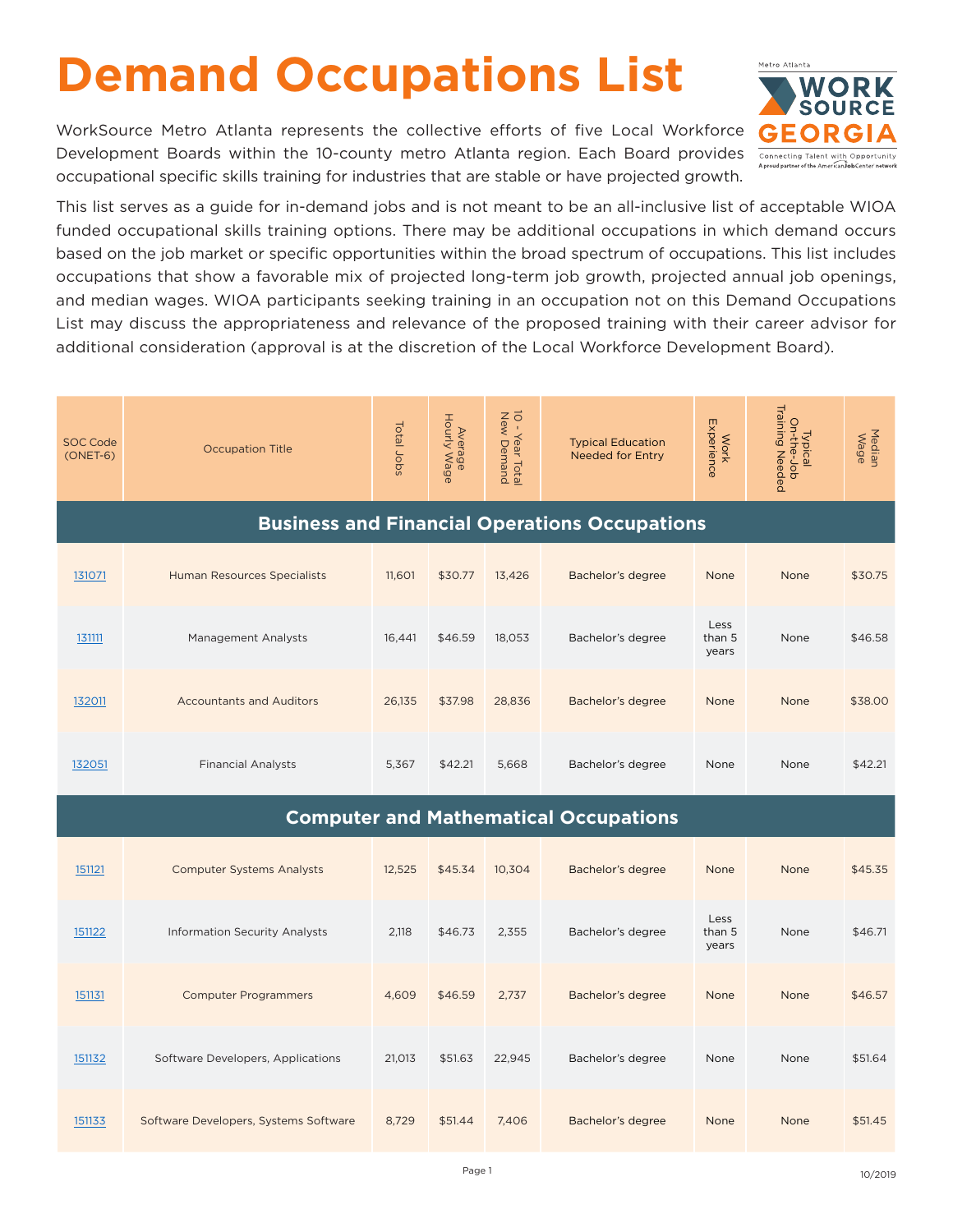## **Demand Occupations List**

WorkSource Metro Atlanta represents the collective efforts of five Local Workforce Development Boards within the 10-county metro Atlanta region. Each Board provides occupational specific skills training for industries that are stable or have projected growth.



This list serves as a guide for in-demand jobs and is not meant to be an all-inclusive list of acceptable WIOA funded occupational skills training options. There may be additional occupations in which demand occurs based on the job market or specific opportunities within the broad spectrum of occupations. This list includes occupations that show a favorable mix of projected long-term job growth, projected annual job openings, and median wages. WIOA participants seeking training in an occupation not on this Demand Occupations List may discuss the appropriateness and relevance of the proposed training with their career advisor for additional consideration (approval is at the discretion of the Local Workforce Development Board).

| <b>SOC Code</b><br>$(ONET-6)$                        | <b>Occupation Title</b>                      | Total Jobs | Average<br>Hourly Wage | 10 - Year Total<br>New Demand | <b>Typical Education</b><br><b>Needed for Entry</b> | Experience<br><b>Work</b> | Typical<br>On-the-Job<br>Training Needed | Median<br>Wage |  |  |
|------------------------------------------------------|----------------------------------------------|------------|------------------------|-------------------------------|-----------------------------------------------------|---------------------------|------------------------------------------|----------------|--|--|
| <b>Business and Financial Operations Occupations</b> |                                              |            |                        |                               |                                                     |                           |                                          |                |  |  |
| 131071                                               | <b>Human Resources Specialists</b>           | 11,601     | \$30.77                | 13,426                        | Bachelor's degree                                   | None                      | None                                     | \$30.75        |  |  |
| 131111                                               | Management Analysts                          | 16,441     | \$46.59                | 18,053                        | Bachelor's degree                                   | Less<br>than 5<br>years   | None                                     | \$46.58        |  |  |
| 132011                                               | <b>Accountants and Auditors</b>              | 26,135     | \$37.98                | 28,836                        | Bachelor's degree                                   | None                      | None                                     | \$38.00        |  |  |
| 132051                                               | <b>Financial Analysts</b>                    | 5,367      | \$42.21                | 5,668                         | Bachelor's degree                                   | None                      | None                                     | \$42.21        |  |  |
|                                                      | <b>Computer and Mathematical Occupations</b> |            |                        |                               |                                                     |                           |                                          |                |  |  |
| 151121                                               | <b>Computer Systems Analysts</b>             | 12,525     | \$45.34                | 10,304                        | Bachelor's degree                                   | None                      | None                                     | \$45.35        |  |  |
| 151122                                               | <b>Information Security Analysts</b>         | 2,118      | \$46.73                | 2,355                         | Bachelor's degree                                   | Less<br>than 5<br>years   | None                                     | \$46.71        |  |  |
| 151131                                               | <b>Computer Programmers</b>                  | 4,609      | \$46.59                | 2,737                         | Bachelor's degree                                   | None                      | None                                     | \$46.57        |  |  |
| 151132                                               | Software Developers, Applications            | 21,013     | \$51.63                | 22,945                        | Bachelor's degree                                   | None                      | None                                     | \$51.64        |  |  |
| 151133                                               | Software Developers, Systems Software        | 8,729      | \$51.44                | 7,406                         | Bachelor's degree                                   | None                      | None                                     | \$51.45        |  |  |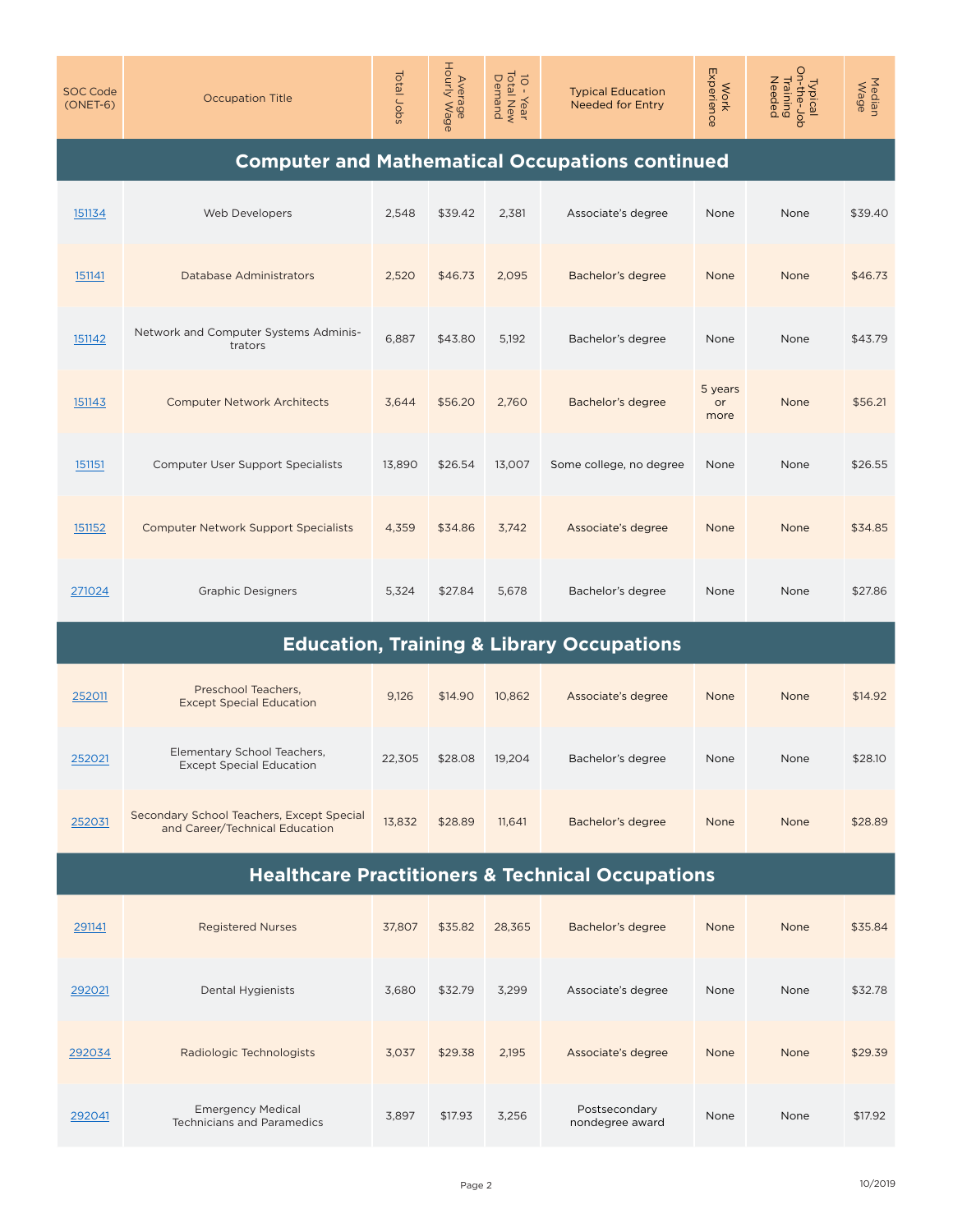| <b>SOC Code</b><br>$(ONET-6)$                               | <b>Occupation Title</b>                                                     | Total Jobs | Average<br>Hourly Wage | 10 - Year<br>Total New<br>Demand | <b>Typical Education</b><br><b>Needed for Entry</b>  | Work<br>Experience    | Typical<br>On-the-Job<br>Training<br>Needed | Median<br>Wage |  |
|-------------------------------------------------------------|-----------------------------------------------------------------------------|------------|------------------------|----------------------------------|------------------------------------------------------|-----------------------|---------------------------------------------|----------------|--|
| <b>Computer and Mathematical Occupations continued</b>      |                                                                             |            |                        |                                  |                                                      |                       |                                             |                |  |
| 151134                                                      | Web Developers                                                              | 2,548      | \$39.42                | 2,381                            | Associate's degree                                   | None                  | None                                        | \$39.40        |  |
| 151141                                                      | <b>Database Administrators</b>                                              | 2,520      | \$46.73                | 2,095                            | Bachelor's degree                                    | None                  | None                                        | \$46.73        |  |
| 151142                                                      | Network and Computer Systems Adminis-<br>trators                            | 6,887      | \$43.80                | 5,192                            | Bachelor's degree                                    | None                  | None                                        | \$43.79        |  |
| 151143                                                      | <b>Computer Network Architects</b>                                          | 3,644      | \$56.20                | 2,760                            | Bachelor's degree                                    | 5 years<br>or<br>more | None                                        | \$56.21        |  |
| 151151                                                      | <b>Computer User Support Specialists</b>                                    | 13,890     | \$26.54                | 13,007                           | Some college, no degree                              | None                  | None                                        | \$26.55        |  |
| 151152                                                      | <b>Computer Network Support Specialists</b>                                 | 4,359      | \$34.86                | 3,742                            | Associate's degree                                   | None                  | None                                        | \$34.85        |  |
| 271024                                                      | <b>Graphic Designers</b>                                                    | 5,324      | \$27.84                | 5,678                            | Bachelor's degree                                    | None                  | None                                        | \$27.86        |  |
|                                                             |                                                                             |            |                        |                                  | <b>Education, Training &amp; Library Occupations</b> |                       |                                             |                |  |
| 252011                                                      | Preschool Teachers,<br><b>Except Special Education</b>                      | 9,126      | \$14.90                | 10,862                           | Associate's degree                                   | None                  | None                                        | \$14.92        |  |
| 252021                                                      | Elementary School Teachers,<br><b>Except Special Education</b>              | 22,305     | \$28.08                | 19,204                           | Bachelor's degree                                    | None                  | None                                        | \$28.10        |  |
| 252031                                                      | Secondary School Teachers, Except Special<br>and Career/Technical Education | 13,832     | \$28.89                | 11,641                           | Bachelor's degree                                    | None                  | None                                        | \$28.89        |  |
| <b>Healthcare Practitioners &amp; Technical Occupations</b> |                                                                             |            |                        |                                  |                                                      |                       |                                             |                |  |
| 291141                                                      | <b>Registered Nurses</b>                                                    | 37,807     | \$35.82                | 28,365                           | Bachelor's degree                                    | None                  | None                                        | \$35.84        |  |
| 292021                                                      | Dental Hygienists                                                           | 3,680      | \$32.79                | 3,299                            | Associate's degree                                   | None                  | None                                        | \$32.78        |  |
| 292034                                                      | Radiologic Technologists                                                    | 3,037      | \$29.38                | 2,195                            | Associate's degree                                   | None                  | None                                        | \$29.39        |  |
| 292041                                                      | <b>Emergency Medical</b><br><b>Technicians and Paramedics</b>               | 3,897      | \$17.93                | 3,256                            | Postsecondary<br>nondegree award                     | None                  | None                                        | \$17.92        |  |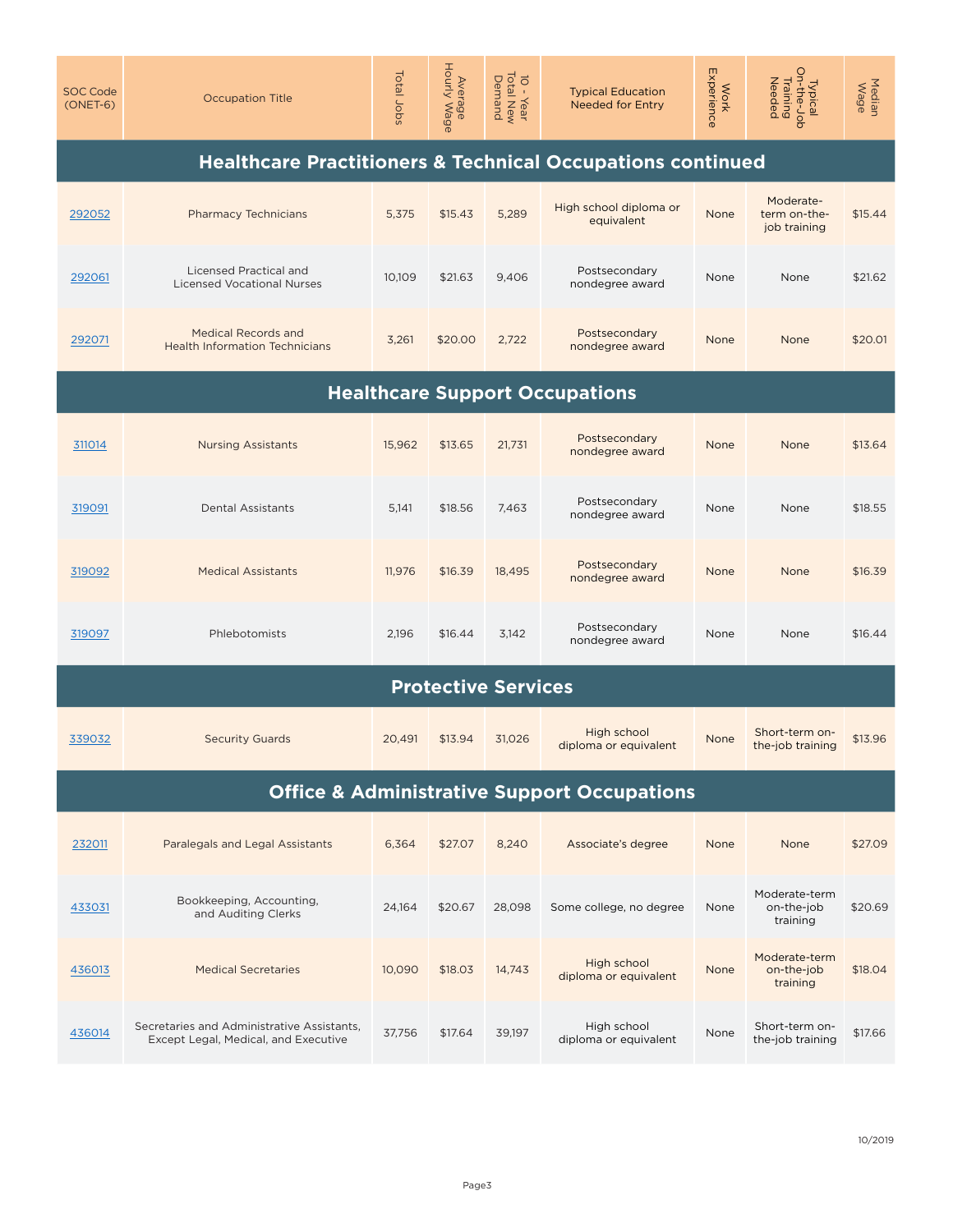| <b>SOC Code</b><br>$(ONET-6)$                                         | <b>Occupation Title</b>                                                            | Total Jobs | Average<br>Hourly Wage     | 10 - Year<br>Total New<br>Demand | <b>Typical Education</b><br><b>Needed for Entry</b>    | Experience<br><b>Work</b> | Typical<br>On-the-Job<br>Training<br>Needed | Median<br>Wage |  |  |
|-----------------------------------------------------------------------|------------------------------------------------------------------------------------|------------|----------------------------|----------------------------------|--------------------------------------------------------|---------------------------|---------------------------------------------|----------------|--|--|
| <b>Healthcare Practitioners &amp; Technical Occupations continued</b> |                                                                                    |            |                            |                                  |                                                        |                           |                                             |                |  |  |
| 292052                                                                | <b>Pharmacy Technicians</b>                                                        | 5,375      | \$15.43                    | 5,289                            | High school diploma or<br>equivalent                   | None                      | Moderate-<br>term on-the-<br>job training   | \$15.44        |  |  |
| 292061                                                                | <b>Licensed Practical and</b><br><b>Licensed Vocational Nurses</b>                 | 10,109     | \$21.63                    | 9,406                            | Postsecondary<br>nondegree award                       | None                      | None                                        | \$21.62        |  |  |
| 292071                                                                | <b>Medical Records and</b><br><b>Health Information Technicians</b>                | 3,261      | \$20.00                    | 2,722                            | Postsecondary<br>nondegree award                       | None                      | None                                        | \$20.01        |  |  |
| <b>Healthcare Support Occupations</b>                                 |                                                                                    |            |                            |                                  |                                                        |                           |                                             |                |  |  |
| 311014                                                                | <b>Nursing Assistants</b>                                                          | 15,962     | \$13.65                    | 21,731                           | Postsecondary<br>nondegree award                       | None                      | None                                        | \$13.64        |  |  |
| 319091                                                                | <b>Dental Assistants</b>                                                           | 5,141      | \$18.56                    | 7,463                            | Postsecondary<br>nondegree award                       | None                      | None                                        | \$18.55        |  |  |
| 319092                                                                | <b>Medical Assistants</b>                                                          | 11,976     | \$16.39                    | 18,495                           | Postsecondary<br>nondegree award                       | None                      | None                                        | \$16.39        |  |  |
| 319097                                                                | Phlebotomists                                                                      | 2,196      | \$16.44                    | 3,142                            | Postsecondary<br>nondegree award                       | None                      | None                                        | \$16.44        |  |  |
|                                                                       |                                                                                    |            | <b>Protective Services</b> |                                  |                                                        |                           |                                             |                |  |  |
| 339032                                                                | <b>Security Guards</b>                                                             | 20,491     | \$13.94                    | 31,026                           | High school<br>diploma or equivalent                   | None                      | Short-term on-<br>the-job training          | \$13.96        |  |  |
|                                                                       |                                                                                    |            |                            |                                  | <b>Office &amp; Administrative Support Occupations</b> |                           |                                             |                |  |  |
| 232011                                                                | Paralegals and Legal Assistants                                                    | 6,364      | \$27.07                    | 8,240                            | Associate's degree                                     | None                      | None                                        | \$27.09        |  |  |
| 433031                                                                | Bookkeeping, Accounting,<br>and Auditing Clerks                                    | 24,164     | \$20.67                    | 28.098                           | Some college, no degree                                | None                      | Moderate-term<br>on-the-job<br>training     | \$20.69        |  |  |
| 436013                                                                | <b>Medical Secretaries</b>                                                         | 10,090     | \$18.03                    | 14,743                           | High school<br>diploma or equivalent                   | None                      | Moderate-term<br>on-the-job<br>training     | \$18.04        |  |  |
| 436014                                                                | Secretaries and Administrative Assistants,<br>Except Legal, Medical, and Executive | 37,756     | \$17.64                    | 39,197                           | High school<br>diploma or equivalent                   | None                      | Short-term on-<br>the-job training          | \$17.66        |  |  |